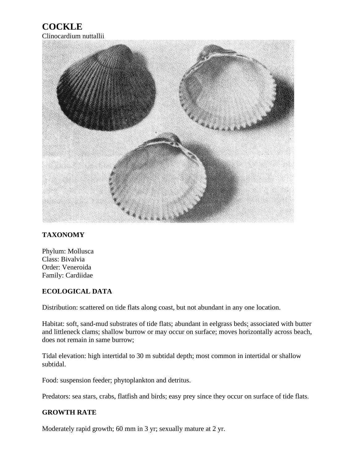## **COCKLE**



## **TAXONOMY**

Phylum: Mollusca Class: Bivalvia Order: Veneroida Family: Cardiidae

## **ECOLOGICAL DATA**

Distribution: scattered on tide flats along coast, but not abundant in any one location.

Habitat: soft, sand-mud substrates of tide flats; abundant in eelgrass beds; associated with butter and littleneck clams; shallow burrow or may occur on surface; moves horizontally across beach, does not remain in same burrow;

Tidal elevation: high intertidal to 30 m subtidal depth; most common in intertidal or shallow subtidal.

Food: suspension feeder; phytoplankton and detritus.

Predators: sea stars, crabs, flatfish and birds; easy prey since they occur on surface of tide flats.

## **GROWTH RATE**

Moderately rapid growth; 60 mm in 3 yr; sexually mature at 2 yr.